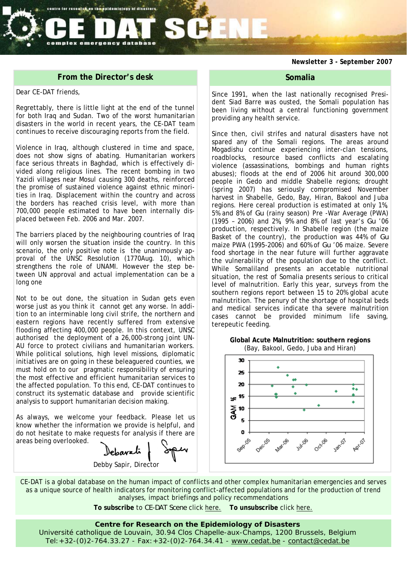*Newsletter 3 - September 2007* 

### **From the Director's desk**

emergency database

centre for research on the spidemiology of disasters

#### Dear CE-DAT friends,

Regrettably, there is little light at the end of the tunnel for both Iraq and Sudan. Two of the worst humanitarian disasters in the world in recent years, the CE-DAT team continues to receive discouraging reports from the field.

Violence in Iraq, although clustered in time and space, does not show signs of abating. Humanitarian workers face serious threats in Baghdad, which is effectively divided along religious lines. The recent bombing in two Yazidi villages near Mosul causing 300 deaths, reinforced the promise of sustained violence against ethnic minorities in Iraq. Displacement within the country and across the borders has reached crisis level, with more than 700,000 people estimated to have been internally displaced between Feb. 2006 and Mar. 2007.

The barriers placed by the neighbouring countries of Iraq will only worsen the situation inside the country. In this scenario, the only positive note is the unanimously approval of the UNSC Resolution (1770Aug. 10), which strengthens the role of UNAMI. However the step between UN approval and actual implementation can be a long one

Not to be out done, the situation in Sudan gets even worse just as you think it cannot get any worse. In addition to an interminable long civil strife, the northern and eastern regions have recently suffered from extensive flooding affecting 400,000 people. In this context, UNSC authorised the deployment of a 26,000-strong joint UN-AU force to protect civilians and humanitarian workers. While political solutions, high level missions, diplomatic initiatives are on going in these beleaguered counties, we must hold on to our pragmatic responsibility of ensuring the most effective and efficient humanitarian services to the affected population. To this end, CE-DAT continues to construct its systematic database and provide scientific analysis to support humanitarian decision making.

As always, we welcome your feedback. Please let us know whether the information we provide is helpful, and do not hesitate to make requests for analysis if there are areas being overlooked.

debavati Debby Sapir, Director

### **Somalia**

Since 1991, when the last nationally recognised President Siad Barre was ousted, the Somali population has been living without a central functioning government providing any health service.

Since then, civil strifes and natural disasters have not spared any of the Somali regions. The areas around Mogadishu continue experiencing inter-clan tensions, roadblocks, resource based conflicts and escalating violence (assassinations, bombings and human rights abuses); floods at the end of 2006 hit around 300,000 people in Gedo and middle Shabelle regions; drought (spring 2007) has seriously compromised November harvest in Shabelle, Gedo, Bay, Hiran, Bakool and Juba regions. Here cereal production is estimated at only 1%, 5% and 8% of *Gu* (rainy season) Pre -War Average (PWA) (1995 – 2006) and 2%, 9% and 8% of last year's *Gu* '06 production, respectively. In Shabelle region (the maize Basket of the country), the production was 44% of *Gu*  maize PWA (1995-2006) and 60% of *Gu* '06 maize. Severe food shortage in the near future will further aggravate the vulnerability of the population due to the conflict. While Somaliland presents an accetable nutritional situation, the rest of Somalia presents serious to critical level of malnutrition. Early this year, surveys from the southern regions report between 15 to 20% global acute malnutrition. The penury of the shortage of hospital beds and medical services indicate tha severe malnutrition cases cannot be provided minimum life saving, terepeutic feeding.

**Global Acute Malnutrition: southern regions**  (Bay, Bakool, Gedo, Juba and Hiran)



CE-DAT is a global database on the human impact of conflicts and other complex humanitarian emergencies and serves as a unique source of health indicators for monitoring conflict-affected populations and for the production of trend analyses, impact briefings and policy recommendations

**To subscribe** to *CE-DAT Scene* click here. **To unsubscribe** click here.

#### **Centre for Research on the Epidemiology of Disasters**

Université catholique de Louvain, 30.94 Clos Chapelle-aux-Champs, 1200 Brussels, Belgium Tel:+32-(0)2-764.33.27 - Fax:+32-(0)2-764.34.41 - www.cedat.be - contact@cedat.be